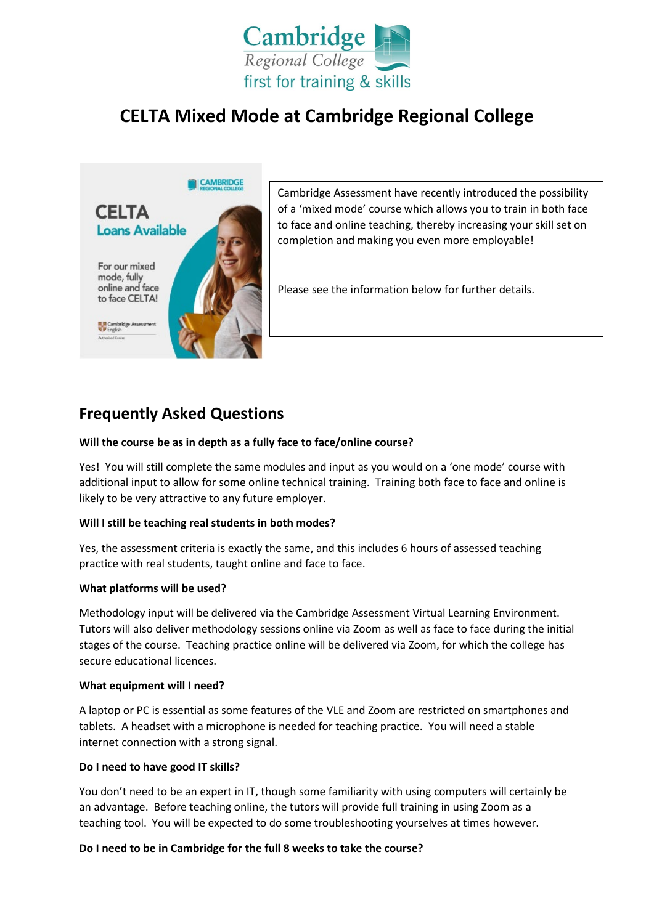

# **CELTA Mixed Mode at Cambridge Regional College**



## **Frequently Asked Questions**

#### **Will the course be as in depth as a fully face to face/online course?**

Yes! You will still complete the same modules and input as you would on a 'one mode' course with additional input to allow for some online technical training. Training both face to face and online is likely to be very attractive to any future employer.

#### **Will I still be teaching real students in both modes?**

Yes, the assessment criteria is exactly the same, and this includes 6 hours of assessed teaching practice with real students, taught online and face to face.

#### **What platforms will be used?**

Methodology input will be delivered via the Cambridge Assessment Virtual Learning Environment. Tutors will also deliver methodology sessions online via Zoom as well as face to face during the initial stages of the course. Teaching practice online will be delivered via Zoom, for which the college has secure educational licences.

#### **What equipment will I need?**

A laptop or PC is essential as some features of the VLE and Zoom are restricted on smartphones and tablets. A headset with a microphone is needed for teaching practice. You will need a stable internet connection with a strong signal.

## **Do I need to have good IT skills?**

You don't need to be an expert in IT, though some familiarity with using computers will certainly be an advantage. Before teaching online, the tutors will provide full training in using Zoom as a teaching tool. You will be expected to do some troubleshooting yourselves at times however.

#### **Do I need to be in Cambridge for the full 8 weeks to take the course?**